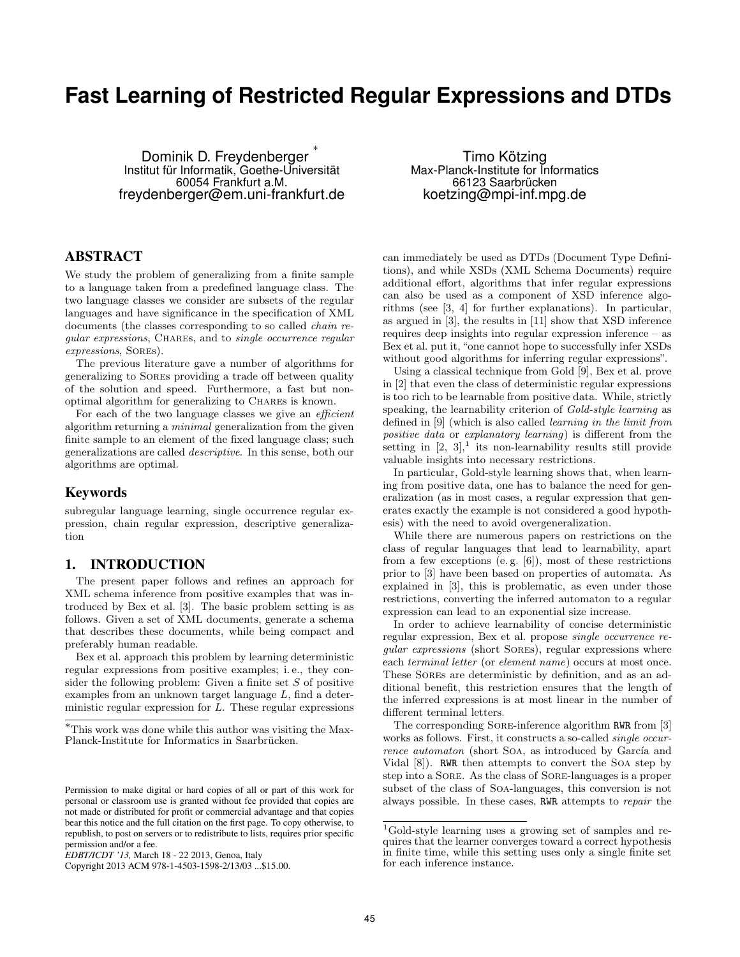# **Fast Learning of Restricted Regular Expressions and DTDs**

Dominik D. Freydenberger ∗ Institut für Informatik, Goethe-Universität 60054 Frankfurt a.M. freydenberger@em.uni-frankfurt.de

Timo Kötzing Max-Planck-Institute for Informatics 66123 Saarbrücken koetzing@mpi-inf.mpg.de

# ABSTRACT

We study the problem of generalizing from a finite sample to a language taken from a predefined language class. The two language classes we consider are subsets of the regular languages and have significance in the specification of XML documents (the classes corresponding to so called chain regular expressions, CHARES, and to single occurrence regular expressions, Sores).

The previous literature gave a number of algorithms for generalizing to Sores providing a trade off between quality of the solution and speed. Furthermore, a fast but nonoptimal algorithm for generalizing to Chares is known.

For each of the two language classes we give an *efficient* algorithm returning a minimal generalization from the given finite sample to an element of the fixed language class; such generalizations are called descriptive. In this sense, both our algorithms are optimal.

## Keywords

subregular language learning, single occurrence regular expression, chain regular expression, descriptive generalization

# 1. INTRODUCTION

The present paper follows and refines an approach for XML schema inference from positive examples that was introduced by Bex et al. [3]. The basic problem setting is as follows. Given a set of XML documents, generate a schema that describes these documents, while being compact and preferably human readable.

Bex et al. approach this problem by learning deterministic regular expressions from positive examples; i. e., they consider the following problem: Given a finite set  $S$  of positive examples from an unknown target language L, find a deterministic regular expression for L. These regular expressions can immediately be used as DTDs (Document Type Definitions), and while XSDs (XML Schema Documents) require additional effort, algorithms that infer regular expressions can also be used as a component of XSD inference algorithms (see [3, 4] for further explanations). In particular, as argued in [3], the results in [11] show that XSD inference requires deep insights into regular expression inference – as Bex et al. put it, "one cannot hope to successfully infer XSDs without good algorithms for inferring regular expressions".

Using a classical technique from Gold [9], Bex et al. prove in [2] that even the class of deterministic regular expressions is too rich to be learnable from positive data. While, strictly speaking, the learnability criterion of Gold-style learning as defined in [9] (which is also called learning in the limit from positive data or explanatory learning) is different from the setting in  $[2, 3]$ , its non-learnability results still provide valuable insights into necessary restrictions.

In particular, Gold-style learning shows that, when learning from positive data, one has to balance the need for generalization (as in most cases, a regular expression that generates exactly the example is not considered a good hypothesis) with the need to avoid overgeneralization.

While there are numerous papers on restrictions on the class of regular languages that lead to learnability, apart from a few exceptions (e.g.  $[6]$ ), most of these restrictions prior to [3] have been based on properties of automata. As explained in [3], this is problematic, as even under those restrictions, converting the inferred automaton to a regular expression can lead to an exponential size increase.

In order to achieve learnability of concise deterministic regular expression, Bex et al. propose single occurrence regular expressions (short Sores), regular expressions where each terminal letter (or element name) occurs at most once. These Sores are deterministic by definition, and as an additional benefit, this restriction ensures that the length of the inferred expressions is at most linear in the number of different terminal letters.

The corresponding Sore-inference algorithm RWR from [3] works as follows. First, it constructs a so-called *single occur*rence automaton (short SOA, as introduced by García and Vidal [8]). RWR then attempts to convert the Soa step by step into a Sore. As the class of Sore-languages is a proper subset of the class of Soa-languages, this conversion is not always possible. In these cases, RWR attempts to repair the

<sup>∗</sup>This work was done while this author was visiting the Max-Planck-Institute for Informatics in Saarbrücken.

Permission to make digital or hard copies of all or part of this work for personal or classroom use is granted without fee provided that copies are not made or distributed for profit or commercial advantage and that copies bear this notice and the full citation on the first page. To copy otherwise, to republish, to post on servers or to redistribute to lists, requires prior specific permission and/or a fee.

*EDBT/ICDT '13,* March 18 - 22 2013, Genoa, Italy

Copyright 2013 ACM 978-1-4503-1598-2/13/03 ...\$15.00.

<sup>1</sup>Gold-style learning uses a growing set of samples and requires that the learner converges toward a correct hypothesis in finite time, while this setting uses only a single finite set for each inference instance.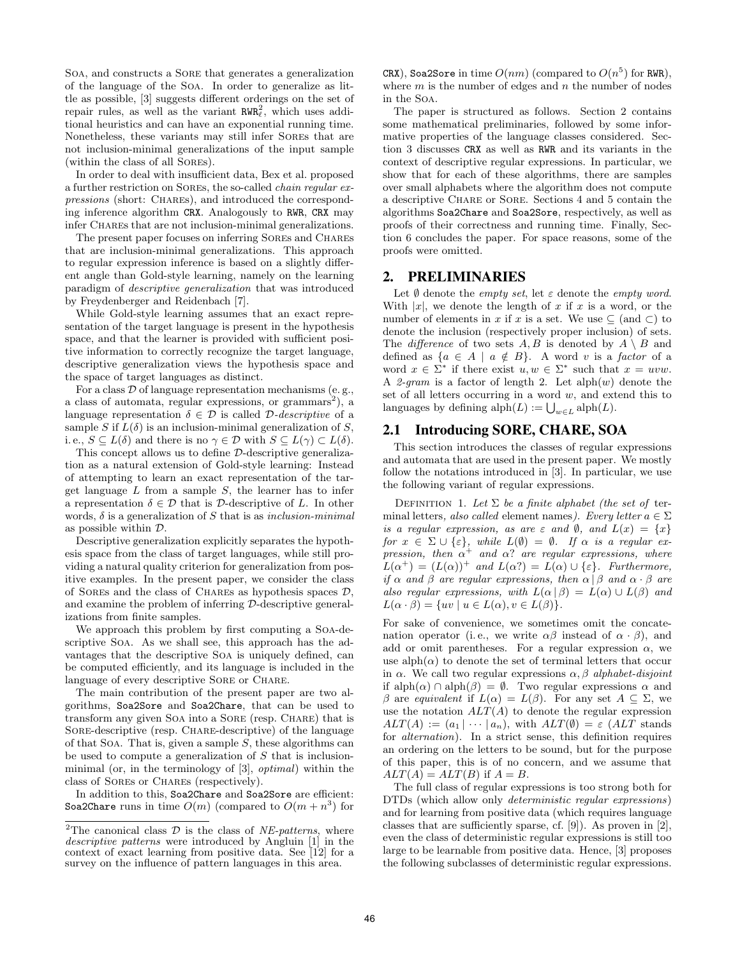Soa, and constructs a Sore that generates a generalization of the language of the Soa. In order to generalize as little as possible, [3] suggests different orderings on the set of repair rules, as well as the variant  $RWR<sub>\ell</sub><sup>2</sup>$ , which uses additional heuristics and can have an exponential running time. Nonetheless, these variants may still infer Sores that are not inclusion-minimal generalizations of the input sample (within the class of all Sores).

In order to deal with insufficient data, Bex et al. proposed a further restriction on Sores, the so-called chain regular expressions (short: CHARES), and introduced the corresponding inference algorithm CRX. Analogously to RWR, CRX may infer CHAREs that are not inclusion-minimal generalizations.

The present paper focuses on inferring SOREs and CHARES that are inclusion-minimal generalizations. This approach to regular expression inference is based on a slightly different angle than Gold-style learning, namely on the learning paradigm of descriptive generalization that was introduced by Freydenberger and Reidenbach [7].

While Gold-style learning assumes that an exact representation of the target language is present in the hypothesis space, and that the learner is provided with sufficient positive information to correctly recognize the target language, descriptive generalization views the hypothesis space and the space of target languages as distinct.

For a class  $\mathcal D$  of language representation mechanisms (e.g., a class of automata, regular expressions, or grammars<sup>2</sup>), a language representation  $\delta \in \mathcal{D}$  is called D-*descriptive* of a sample S if  $L(\delta)$  is an inclusion-minimal generalization of S, i. e.,  $S \subseteq L(\delta)$  and there is no  $\gamma \in \mathcal{D}$  with  $S \subseteq L(\gamma) \subset L(\delta)$ .

This concept allows us to define D-descriptive generalization as a natural extension of Gold-style learning: Instead of attempting to learn an exact representation of the target language  $L$  from a sample  $S$ , the learner has to infer a representation  $\delta \in \mathcal{D}$  that is  $\mathcal{D}$ -descriptive of L. In other words,  $\delta$  is a generalization of S that is as inclusion-minimal as possible within D.

Descriptive generalization explicitly separates the hypothesis space from the class of target languages, while still providing a natural quality criterion for generalization from positive examples. In the present paper, we consider the class of SOREs and the class of CHARES as hypothesis spaces  $D$ , and examine the problem of inferring D-descriptive generalizations from finite samples.

We approach this problem by first computing a Soa-descriptive Soa. As we shall see, this approach has the advantages that the descriptive Soa is uniquely defined, can be computed efficiently, and its language is included in the language of every descriptive SORE or CHARE.

The main contribution of the present paper are two algorithms, Soa2Sore and Soa2Chare, that can be used to transform any given Soa into a Sore (resp. Chare) that is SORE-descriptive (resp. CHARE-descriptive) of the language of that Soa. That is, given a sample  $S$ , these algorithms can be used to compute a generalization of  $S$  that is inclusionminimal (or, in the terminology of [3], optimal) within the class of Sores or Chares (respectively).

In addition to this, Soa2Chare and Soa2Sore are efficient: Soa2Chare runs in time  $O(m)$  (compared to  $O(m + n^3)$  for

CRX), Soa2Sore in time  $O(nm)$  (compared to  $O(n^5)$  for RWR), where  $m$  is the number of edges and  $n$  the number of nodes in the Soa.

The paper is structured as follows. Section 2 contains some mathematical preliminaries, followed by some informative properties of the language classes considered. Section 3 discusses CRX as well as RWR and its variants in the context of descriptive regular expressions. In particular, we show that for each of these algorithms, there are samples over small alphabets where the algorithm does not compute a descriptive Chare or Sore. Sections 4 and 5 contain the algorithms Soa2Chare and Soa2Sore, respectively, as well as proofs of their correctness and running time. Finally, Section 6 concludes the paper. For space reasons, some of the proofs were omitted.

## 2. PRELIMINARIES

Let  $\emptyset$  denote the *empty set*, let  $\varepsilon$  denote the *empty word*. With  $|x|$ , we denote the length of x if x is a word, or the number of elements in x if x is a set. We use  $\subseteq$  (and  $\subseteq$ ) to denote the inclusion (respectively proper inclusion) of sets. The *difference* of two sets  $A, B$  is denoted by  $A \setminus B$  and defined as  $\{a \in A \mid a \notin B\}$ . A word v is a factor of a word  $x \in \Sigma^*$  if there exist  $u, w \in \Sigma^*$  such that  $x = uvw$ . A 2-gram is a factor of length 2. Let  $\text{alph}(w)$  denote the set of all letters occurring in a word  $w$ , and extend this to languages by defining  $\mathrm{alph}(L) := \bigcup_{w \in L} \mathrm{alph}(L)$ .

# 2.1 Introducing SORE, CHARE, SOA

This section introduces the classes of regular expressions and automata that are used in the present paper. We mostly follow the notations introduced in [3]. In particular, we use the following variant of regular expressions.

DEFINITION 1. Let  $\Sigma$  be a finite alphabet (the set of terminal letters, also called element names). Every letter  $a \in \Sigma$ is a regular expression, as are  $\varepsilon$  and  $\emptyset$ , and  $L(x) = \{x\}$ for  $x \in \Sigma \cup \{\varepsilon\}$ , while  $L(\emptyset) = \emptyset$ . If  $\alpha$  is a regular expression, then  $\alpha^+$  and  $\alpha$ ? are regular expressions, where  $L(\alpha^+) = (L(\alpha))^+$  and  $L(\alpha^?) = L(\alpha) \cup {\varepsilon}.$  Furthermore, if  $\alpha$  and  $\beta$  are regular expressions, then  $\alpha | \beta$  and  $\alpha \cdot \beta$  are also regular expressions, with  $L(\alpha | \beta) = L(\alpha) \cup L(\beta)$  and  $L(\alpha \cdot \beta) = \{ uv \mid u \in L(\alpha), v \in L(\beta) \}.$ 

For sake of convenience, we sometimes omit the concatenation operator (i.e., we write  $\alpha\beta$  instead of  $\alpha \cdot \beta$ ), and add or omit parentheses. For a regular expression  $\alpha$ , we use alph $(\alpha)$  to denote the set of terminal letters that occur in  $\alpha$ . We call two regular expressions  $\alpha$ ,  $\beta$  alphabet-disjoint if  $\alpha$ ) ∩ alph( $\beta$ ) =  $\emptyset$ . Two regular expressions  $\alpha$  and β are equivalent if  $L(\alpha) = L(\beta)$ . For any set  $A \subseteq \Sigma$ , we use the notation  $ALT(A)$  to denote the regular expression  $ALT(A) := (a_1 | \cdots | a_n)$ , with  $ALT(\emptyset) = \varepsilon$  (ALT stands for alternation). In a strict sense, this definition requires an ordering on the letters to be sound, but for the purpose of this paper, this is of no concern, and we assume that  $ALT(A) = ALT(B)$  if  $A = B$ .

The full class of regular expressions is too strong both for DTDs (which allow only deterministic regular expressions) and for learning from positive data (which requires language classes that are sufficiently sparse, cf. [9]). As proven in [2], even the class of deterministic regular expressions is still too large to be learnable from positive data. Hence, [3] proposes the following subclasses of deterministic regular expressions.

<sup>&</sup>lt;sup>2</sup>The canonical class  $D$  is the class of *NE-patterns*, where descriptive patterns were introduced by Angluin [1] in the context of exact learning from positive data. See [12] for a survey on the influence of pattern languages in this area.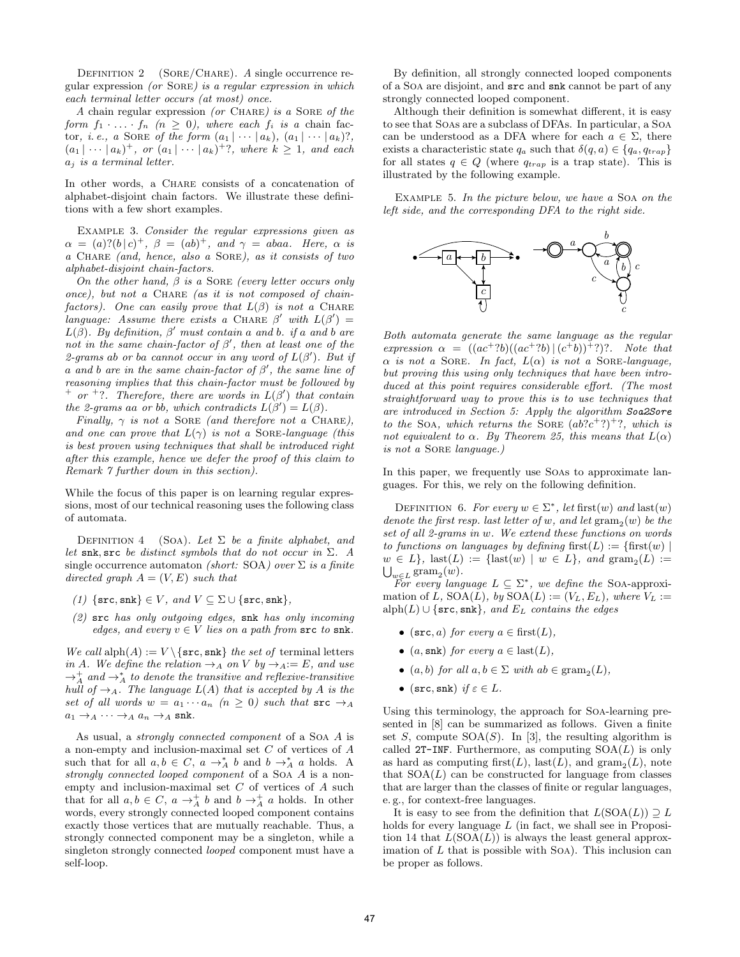DEFINITION 2 ( $SORE/CHARE$ ). A single occurrence regular expression (or Sore) is a regular expression in which each terminal letter occurs (at most) once.

A chain regular expression (or CHARE) is a SORE of the form  $f_1 \cdot \ldots \cdot f_n$   $(n \geq 0)$ , where each  $f_i$  is a chain factor, *i.e.*, a SORE of the form  $(a_1 | \cdots | a_k)$ ,  $(a_1 | \cdots | a_k)$ ?,  $(a_1 \mid \cdots \mid a_k)^+$ , or  $(a_1 \mid \cdots \mid a_k)^+$ ?, where  $k \geq 1$ , and each  $a_i$  is a terminal letter.

In other words, a Chare consists of a concatenation of alphabet-disjoint chain factors. We illustrate these definitions with a few short examples.

Example 3. Consider the regular expressions given as  $\alpha = (a)?(b|c)^+, \beta = (ab)^+, \text{ and } \gamma = abaa.$  Here,  $\alpha$  is a Chare (and, hence, also a Sore), as it consists of two alphabet-disjoint chain-factors.

On the other hand,  $\beta$  is a SORE (every letter occurs only  $once)$ , but not a CHARE (as it is not composed of chainfactors). One can easily prove that  $L(\beta)$  is not a CHARE language: Assume there exists a CHARE  $\beta'$  with  $L(\beta') =$  $L(\beta)$ . By definition,  $\beta'$  must contain a and b. if a and b are not in the same chain-factor of  $\beta'$ , then at least one of the 2-grams ab or ba cannot occur in any word of  $L(\beta')$ . But if a and b are in the same chain-factor of  $\beta'$ , the same line of reasoning implies that this chain-factor must be followed by + or +?. Therefore, there are words in  $L(\beta')$  that contain the 2-grams aa or bb, which contradicts  $L(\beta') = L(\beta)$ .

Finally,  $\gamma$  is not a SORE (and therefore not a CHARE), and one can prove that  $L(\gamma)$  is not a SORE-language (this is best proven using techniques that shall be introduced right after this example, hence we defer the proof of this claim to Remark 7 further down in this section).

While the focus of this paper is on learning regular expressions, most of our technical reasoning uses the following class of automata.

DEFINITION 4 (SOA). Let  $\Sigma$  be a finite alphabet, and let snk, src be distinct symbols that do not occur in  $\Sigma$ . A single occurrence automaton (short: SOA) over  $\Sigma$  is a finite directed graph  $A = (V, E)$  such that

- (1) { $\{src, shk\} \in V$ , and  $V \subseteq \Sigma \cup \{src, shk\}$ ,
- (2) src has only outgoing edges, snk has only incoming edges, and every  $v \in V$  lies on a path from  $src$  to  $snk$ .

We call  $\text{alph}(A) := V \setminus \{\text{src}, \text{snk}\}\$  the set of terminal letters in A. We define the relation  $\rightarrow_A$  on V by  $\rightarrow_A:=E$ , and use  $\rightarrow_A^+$  and  $\rightarrow_A^*$  to denote the transitive and reflexive-transitive hull of  $\rightarrow_A$ . The language  $L(A)$  that is accepted by A is the set of all words  $w = a_1 \cdots a_n$   $(n \geq 0)$  such that  $src \rightarrow A$  $a_1 \rightarrow_A \cdots \rightarrow_A a_n \rightarrow_A$  snk.

As usual, a strongly connected component of a Soa A is a non-empty and inclusion-maximal set C of vertices of A such that for all  $a, b \in C$ ,  $a \rightarrow_A^* b$  and  $b \rightarrow_A^* a$  holds. A strongly connected looped component of a Soa A is a nonempty and inclusion-maximal set  $C$  of vertices of  $A$  such that for all  $a, b \in C$ ,  $a \rightarrow_A^+ b$  and  $b \rightarrow_A^+ a$  holds. In other words, every strongly connected looped component contains exactly those vertices that are mutually reachable. Thus, a strongly connected component may be a singleton, while a singleton strongly connected looped component must have a self-loop.

By definition, all strongly connected looped components of a Soa are disjoint, and src and snk cannot be part of any strongly connected looped component.

Although their definition is somewhat different, it is easy to see that Soas are a subclass of DFAs. In particular, a Soa can be understood as a DFA where for each  $a \in \Sigma$ , there exists a characteristic state  $q_a$  such that  $\delta(q, a) \in \{q_a, q_{trap}\}\$ for all states  $q \in Q$  (where  $q_{trap}$  is a trap state). This is illustrated by the following example.

EXAMPLE 5. In the picture below, we have a SOA on the left side, and the corresponding DFA to the right side.



Both automata generate the same language as the regular expression  $\alpha = ((ac^+ ? b)((ac^+ ? b) | (c^+ b))^+ ?$ ?. Note that  $\alpha$  is not a SORE. In fact,  $L(\alpha)$  is not a SORE-language, but proving this using only techniques that have been introduced at this point requires considerable effort. (The most straightforward way to prove this is to use techniques that are introduced in Section 5: Apply the algorithm Soa2Sore to the SOA, which returns the SORE  $(ab\ddot{?}c^+?)^+$ ?, which is not equivalent to  $\alpha$ . By Theorem 25, this means that  $L(\alpha)$ is not a Sore language.)

In this paper, we frequently use Soas to approximate languages. For this, we rely on the following definition.

DEFINITION 6. For every  $w \in \Sigma^*$ , let first $(w)$  and last $(w)$ denote the first resp. last letter of w, and let  $\gamma$  and  $\gamma(w)$  be the set of all 2-grams in w. We extend these functions on words to functions on languages by defining first( $L$ ) := {first(w) |  $w \in L$ , last $(L) := \{\text{last}(w) \mid w \in L\}$ , and  $\text{gram}_2(L) :=$ <br> $\bigcup_{w \in L} \text{gram}_2(w)$ .  $_{w\in L}$  gram<sub>2</sub> $(w)$ .

For every language  $L \subseteq \Sigma^*$ , we define the SOA-approximation of L,  $\text{SOA}(L)$ , by  $\text{SOA}(L) := (V_L, E_L)$ , where  $V_L :=$ alph(L) ∪ { $\text{src}, \text{snk}$ }, and  $E<sub>L</sub>$  contains the edges

- (src, a) for every  $a \in \text{first}(L)$ ,
- (a, snk) for every  $a \in$  last(L),
- $(a, b)$  for all  $a, b \in \Sigma$  with  $ab \in \text{gram}_2(L)$ ,
- (src, snk) if  $\varepsilon \in L$ .

Using this terminology, the approach for Soa-learning presented in [8] can be summarized as follows. Given a finite set S, compute  $SOA(S)$ . In [3], the resulting algorithm is called 2T-INF. Furthermore, as computing  $SOA(L)$  is only as hard as computing first $(L)$ , last $(L)$ , and gram $_2(L)$ , note that  $SOA(L)$  can be constructed for language from classes that are larger than the classes of finite or regular languages, e. g., for context-free languages.

It is easy to see from the definition that  $L(SOA(L)) \supseteq L$ holds for every language  $L$  (in fact, we shall see in Proposition 14 that  $L(SOA(L))$  is always the least general approximation of  $L$  that is possible with Soa). This inclusion can be proper as follows.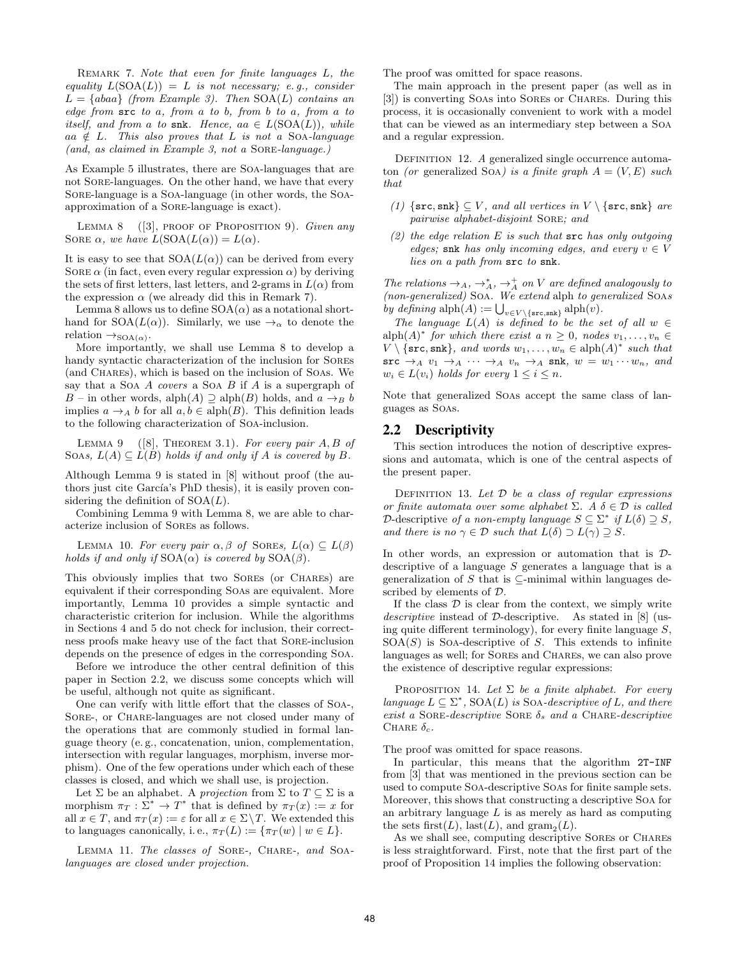Remark 7. Note that even for finite languages L, the equality  $L(SOA(L)) = L$  is not necessary; e.g., consider  $L = \{abaa\}$  (from Example 3). Then  $SOA(L)$  contains an edge from  $src to a$ , from  $a$  to  $b$ , from  $b$  to  $a$ , from  $a$  to itself, and from a to snk. Hence, aa  $\in L(SOA(L))$ , while aa  $\notin L$ . This also proves that L is not a SOA-language (and, as claimed in Example 3, not a Sore-language.)

As Example 5 illustrates, there are Soa-languages that are not Sore-languages. On the other hand, we have that every Sore-language is a Soa-language (in other words, the Soaapproximation of a Sore-language is exact).

LEMMA 8 ([3], PROOF OF PROPOSITION 9). Given any SORE  $\alpha$ , we have  $L(SOA(L(\alpha))) = L(\alpha)$ .

It is easy to see that  $SOA(L(\alpha))$  can be derived from every SORE  $\alpha$  (in fact, even every regular expression  $\alpha$ ) by deriving the sets of first letters, last letters, and 2-grams in  $L(\alpha)$  from the expression  $\alpha$  (we already did this in Remark 7).

Lemma 8 allows us to define  $SOA(\alpha)$  as a notational shorthand for  $SOA(L(\alpha))$ . Similarly, we use  $\rightarrow_{\alpha}$  to denote the relation  $\rightarrow_{\text{SOA}(\alpha)}$ .

More importantly, we shall use Lemma 8 to develop a handy syntactic characterization of the inclusion for Sores (and Chares), which is based on the inclusion of Soas. We say that a Soa A covers a Soa B if A is a supergraph of B – in other words, alph $(A) \supseteq$  alph $(B)$  holds, and  $a \rightarrow_B b$ implies  $a \rightarrow_A b$  for all  $a, b \in \text{alph}(B)$ . This definition leads to the following characterization of Soa-inclusion.

LEMMA 9 ([8], THEOREM 3.1). For every pair  $A, B$  of SOAs,  $L(A) \subseteq L(B)$  holds if and only if A is covered by B.

Although Lemma 9 is stated in [8] without proof (the authors just cite García's PhD thesis), it is easily proven considering the definition of  $SOA(L)$ .

Combining Lemma 9 with Lemma 8, we are able to characterize inclusion of Sores as follows.

LEMMA 10. For every pair  $\alpha, \beta$  of SOREs,  $L(\alpha) \subset L(\beta)$ holds if and only if  $SOA(\alpha)$  is covered by  $SOA(\beta)$ .

This obviously implies that two Sores (or Chares) are equivalent if their corresponding Soas are equivalent. More importantly, Lemma 10 provides a simple syntactic and characteristic criterion for inclusion. While the algorithms in Sections 4 and 5 do not check for inclusion, their correctness proofs make heavy use of the fact that Sore-inclusion depends on the presence of edges in the corresponding Soa.

Before we introduce the other central definition of this paper in Section 2.2, we discuss some concepts which will be useful, although not quite as significant.

One can verify with little effort that the classes of Soa-, SORE-, or CHARE-languages are not closed under many of the operations that are commonly studied in formal language theory (e. g., concatenation, union, complementation, intersection with regular languages, morphism, inverse morphism). One of the few operations under which each of these classes is closed, and which we shall use, is projection.

Let  $\Sigma$  be an alphabet. A projection from  $\Sigma$  to  $T \subset \Sigma$  is a morphism  $\pi_T : \Sigma^* \to T^*$  that is defined by  $\pi_T(x) := x$  for all  $x \in T$ , and  $\pi_T(x) := \varepsilon$  for all  $x \in \Sigma \backslash T$ . We extended this to languages canonically, i.e.,  $\pi_T(L) := {\pi_T(w) \mid w \in L}.$ 

LEMMA 11. The classes of SORE-, CHARE-, and SOAlanguages are closed under projection.

The proof was omitted for space reasons.

The main approach in the present paper (as well as in [3]) is converting Soas into Sores or Charles. During this process, it is occasionally convenient to work with a model that can be viewed as an intermediary step between a Soa and a regular expression.

DEFINITION 12. A generalized single occurrence automaton (or generalized SOA) is a finite graph  $A = (V, E)$  such that

- (1) { $\{src, snk\} \subseteq V$ , and all vertices in  $V \setminus \{src, snk\}$  are pairwise alphabet-disjoint Sore; and
- $(2)$  the edge relation E is such that  $src$  has only outgoing edges; snk has only incoming edges, and every  $v \in V$ lies on a path from src to snk.

The relations  $\rightarrow_A, \rightarrow_A^*$ ,  $\rightarrow_A^+$  on V are defined analogously to (non-generalized) Soa. We extend alph to generalized Soas by defining  $\text{alph}(A) := \bigcup_{v \in V \setminus \{\text{src},\text{snk}\}} \text{alph}(v)$ .

The language  $L(A)$  is defined to be the set of all  $w \in$  $\text{alph}(A)^*$  for which there exist a  $n \geq 0$ , nodes  $v_1, \ldots, v_n \in$  $V \setminus \{ \texttt{src}, \texttt{snk} \}, \text{ and words } w_1, \ldots, w_n \in \text{alph}(A)^* \text{ such that}$  $\text{src } \rightarrow_A v_1 \rightarrow_A \cdots \rightarrow_A v_n \rightarrow_A \text{snk}, w = w_1 \cdots w_n, \text{and}$  $w_i \in L(v_i)$  holds for every  $1 \leq i \leq n$ .

Note that generalized Soas accept the same class of languages as Soas.

## 2.2 Descriptivity

This section introduces the notion of descriptive expressions and automata, which is one of the central aspects of the present paper.

DEFINITION 13. Let  $D$  be a class of regular expressions or finite automata over some alphabet  $\Sigma$ . A  $\delta \in \mathcal{D}$  is called D-descriptive of a non-empty language  $S \subseteq \Sigma^*$  if  $L(\delta) \supseteq S$ , and there is no  $\gamma \in \mathcal{D}$  such that  $L(\delta) \supset L(\gamma) \supseteq S$ .

In other words, an expression or automation that is Ddescriptive of a language  $S$  generates a language that is a generalization of S that is  $\subseteq$ -minimal within languages described by elements of D.

If the class  $D$  is clear from the context, we simply write descriptive instead of D-descriptive. As stated in [8] (using quite different terminology), for every finite language  $S$ ,  $SOA(S)$  is Soa-descriptive of S. This extends to infinite languages as well; for Sores and Chares, we can also prove the existence of descriptive regular expressions:

PROPOSITION 14. Let  $\Sigma$  be a finite alphabet. For every language  $L \subseteq \Sigma^*$ , SOA(L) is SOA-descriptive of L, and there exist a SORE-descriptive SORE  $\delta_s$  and a CHARE-descriptive CHARE  $\delta_c$ .

The proof was omitted for space reasons.

In particular, this means that the algorithm 2T-INF from [3] that was mentioned in the previous section can be used to compute Soa-descriptive Soas for finite sample sets. Moreover, this shows that constructing a descriptive Soa for an arbitrary language  $L$  is as merely as hard as computing the sets first $(L)$ , last $(L)$ , and gram<sub>2</sub> $(L)$ .

As we shall see, computing descriptive SORES or CHARES is less straightforward. First, note that the first part of the proof of Proposition 14 implies the following observation: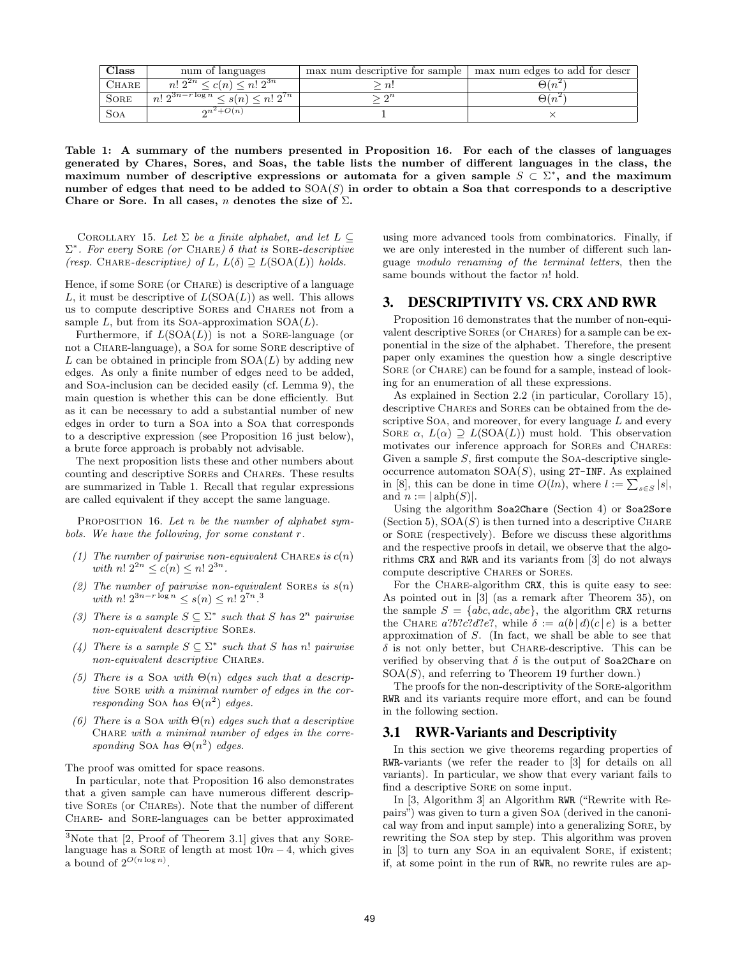| Class        | num of languages                             | max num descriptive for sample | max num edges to add for descr |
|--------------|----------------------------------------------|--------------------------------|--------------------------------|
| <b>CHARE</b> | $n! 2^{2n} \leq c(n) \leq n! 2^{3n}$         | n!                             | $\Theta(n)$                    |
| <b>SORE</b>  | $n! 2^{3n-r\log n} \leq s(n) \leq n! 2^{7n}$ | $\Omega$                       | $\Theta(n^2)$                  |
| Soa          | $2n^2+O(n)$                                  |                                |                                |

Table 1: A summary of the numbers presented in Proposition 16. For each of the classes of languages generated by Chares, Sores, and Soas, the table lists the number of different languages in the class, the maximum number of descriptive expressions or automata for a given sample  $S \subset \Sigma^*$ , and the maximum number of edges that need to be added to  $SOA(S)$  in order to obtain a Soa that corresponds to a descriptive Chare or Sore. In all cases, n denotes the size of  $\Sigma$ .

COROLLARY 15. Let  $\Sigma$  be a finite alphabet, and let  $L \subseteq$  $\Sigma^*$ . For every SORE (or CHARE)  $\delta$  that is SORE-descriptive (resp. CHARE-descriptive) of L,  $L(\delta) \supseteq L(SOA(L))$  holds.

Hence, if some SORE (or CHARE) is descriptive of a language L, it must be descriptive of  $L(SOA(L))$  as well. This allows us to compute descriptive Sores and Chares not from a sample  $L$ , but from its SoA-approximation  $SOA(L)$ .

Furthermore, if  $L(SOA(L))$  is not a SORE-language (or not a Chare-language), a Soa for some Sore descriptive of L can be obtained in principle from  $SOA(L)$  by adding new edges. As only a finite number of edges need to be added, and Soa-inclusion can be decided easily (cf. Lemma 9), the main question is whether this can be done efficiently. But as it can be necessary to add a substantial number of new edges in order to turn a Soa into a Soa that corresponds to a descriptive expression (see Proposition 16 just below), a brute force approach is probably not advisable.

The next proposition lists these and other numbers about counting and descriptive Sores and Chares. These results are summarized in Table 1. Recall that regular expressions are called equivalent if they accept the same language.

PROPOSITION 16. Let n be the number of alphabet symbols. We have the following, for some constant r.

- (1) The number of pairwise non-equivalent CHARES is  $c(n)$ with  $n! 2^{2n} \le c(n) \le n! 2^{3n}$ .
- (2) The number of pairwise non-equivalent SOREs is  $s(n)$ with  $n! 2^{3n-r \log n} \leq s(n) \leq n! 2^{7n}$ .<sup>3</sup>
- (3) There is a sample  $S \subseteq \Sigma^*$  such that S has  $2^n$  pairwise non-equivalent descriptive Sores.
- (4) There is a sample  $S \subseteq \Sigma^*$  such that S has n! pairwise non-equivalent descriptive CHARES.
- (5) There is a SOA with  $\Theta(n)$  edges such that a descriptive Sore with a minimal number of edges in the corresponding Soa has  $\Theta(n^2)$  edges.
- (6) There is a Soa with  $\Theta(n)$  edges such that a descriptive CHARE with a minimal number of edges in the corresponding SOA has  $\Theta(n^2)$  edges.

The proof was omitted for space reasons.

In particular, note that Proposition 16 also demonstrates that a given sample can have numerous different descriptive Sores (or Chares). Note that the number of different Chare- and Sore-languages can be better approximated using more advanced tools from combinatorics. Finally, if we are only interested in the number of different such language modulo renaming of the terminal letters, then the same bounds without the factor  $n!$  hold.

## 3. DESCRIPTIVITY VS. CRX AND RWR

Proposition 16 demonstrates that the number of non-equivalent descriptive Sores (or Chares) for a sample can be exponential in the size of the alphabet. Therefore, the present paper only examines the question how a single descriptive SORE (or CHARE) can be found for a sample, instead of looking for an enumeration of all these expressions.

As explained in Section 2.2 (in particular, Corollary 15), descriptive CHARES and SORES can be obtained from the descriptive Soa, and moreover, for every language  $L$  and every SORE  $\alpha$ ,  $L(\alpha) \supseteq L(SOA(L))$  must hold. This observation motivates our inference approach for Sores and Chares: Given a sample  $S$ , first compute the SOA-descriptive singleoccurrence automaton  $SOA(S)$ , using 2T-INF. As explained in [8], this can be done in time  $O(ln)$ , where  $l := \sum_{s \in S} |s|$ , and  $n := |\text{alph}(S)|$ .

Using the algorithm Soa2Chare (Section 4) or Soa2Sore (Section 5),  $SOA(S)$  is then turned into a descriptive CHARE or Sore (respectively). Before we discuss these algorithms and the respective proofs in detail, we observe that the algorithms CRX and RWR and its variants from [3] do not always compute descriptive Chares or Sores.

For the CHARE-algorithm CRX, this is quite easy to see: As pointed out in [3] (as a remark after Theorem 35), on the sample  $S = \{abc, ade, abe\}$ , the algorithm CRX returns the CHARE  $a?b?c?d?e?$ , while  $\delta := a(b | d)(c | e)$  is a better approximation of S. (In fact, we shall be able to see that  $\delta$  is not only better, but CHARE-descriptive. This can be verified by observing that  $\delta$  is the output of Soa2Chare on  $SOA(S)$ , and referring to Theorem 19 further down.)

The proofs for the non-descriptivity of the Sore-algorithm RWR and its variants require more effort, and can be found in the following section.

#### 3.1 RWR-Variants and Descriptivity

In this section we give theorems regarding properties of RWR-variants (we refer the reader to [3] for details on all variants). In particular, we show that every variant fails to find a descriptive SORE on some input.

In [3, Algorithm 3] an Algorithm RWR ("Rewrite with Repairs") was given to turn a given Soa (derived in the canonical way from and input sample) into a generalizing Sore, by rewriting the Soa step by step. This algorithm was proven in [3] to turn any Soa in an equivalent Sore, if existent; if, at some point in the run of RWR, no rewrite rules are ap-

 $3$ Note that [2, Proof of Theorem 3.1] gives that any SORElanguage has a SORE of length at most  $10n - 4$ , which gives a bound of  $2^{O(n \log n)}$ .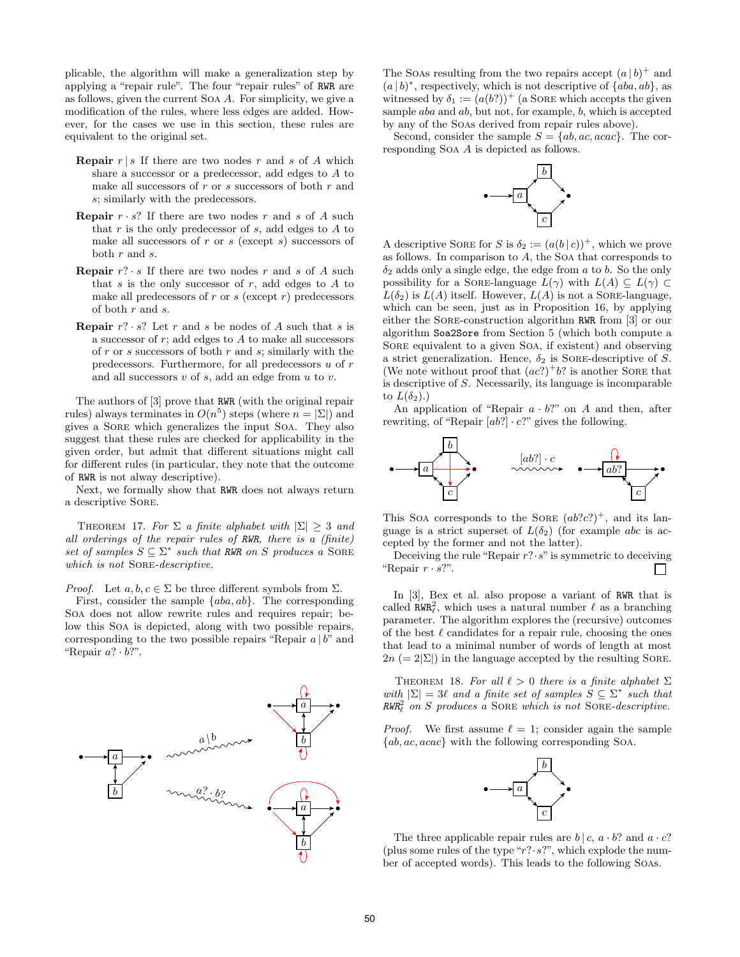plicable, the algorithm will make a generalization step by applying a "repair rule". The four "repair rules" of RWR are as follows, given the current Soa A. For simplicity, we give a modification of the rules, where less edges are added. However, for the cases we use in this section, these rules are equivalent to the original set.

- **Repair**  $r | s$  If there are two nodes r and s of A which share a successor or a predecessor, add edges to A to make all successors of  $r$  or  $s$  successors of both  $r$  and s; similarly with the predecessors.
- **Repair**  $r \cdot s$ ? If there are two nodes r and s of A such that r is the only predecessor of s, add edges to  $A$  to make all successors of  $r$  or  $s$  (except  $s$ ) successors of both r and s.
- **Repair**  $r$ ?  $\cdot$  s If there are two nodes r and s of A such that s is the only successor of  $r$ , add edges to  $A$  to make all predecessors of  $r$  or  $s$  (except  $r$ ) predecessors of both r and s.
- **Repair**  $r$ ? ·  $s$ ? Let  $r$  and  $s$  be nodes of  $A$  such that  $s$  is a successor of  $r$ ; add edges to  $A$  to make all successors of  $r$  or  $s$  successors of both  $r$  and  $s$ ; similarly with the predecessors. Furthermore, for all predecessors  $u$  of  $r$ and all successors  $v$  of  $s$ , add an edge from  $u$  to  $v$ .

The authors of [3] prove that RWR (with the original repair rules) always terminates in  $O(n^5)$  steps (where  $n = |\Sigma|$ ) and gives a Sore which generalizes the input Soa. They also suggest that these rules are checked for applicability in the given order, but admit that different situations might call for different rules (in particular, they note that the outcome of RWR is not alway descriptive).

Next, we formally show that RWR does not always return a descriptive Sore.

THEOREM 17. For  $\Sigma$  a finite alphabet with  $|\Sigma| \geq 3$  and all orderings of the repair rules of RWR, there is a (finite) set of samples  $S \subseteq \Sigma^*$  such that RWR on S produces a SORE which is not SORE-descriptive.

*Proof.* Let  $a, b, c \in \Sigma$  be three different symbols from  $\Sigma$ .

First, consider the sample  $\{aba, ab\}$ . The corresponding Soa does not allow rewrite rules and requires repair; below this Soa is depicted, along with two possible repairs, corresponding to the two possible repairs "Repair  $a | b$ " and "Repair  $a? \cdot b?$ ".



The Soas resulting from the two repairs accept  $(a | b)^+$  and  $(a | b)^*$ , respectively, which is not descriptive of  $\{aba, ab\}$ , as witnessed by  $\delta_1 := (a(b?))^+$  (a SORE which accepts the given sample aba and ab, but not, for example, b, which is accepted by any of the Soas derived from repair rules above).

Second, consider the sample  $S = \{ab, ac, acac\}$ . The corresponding Soa A is depicted as follows.



A descriptive SORE for S is  $\delta_2 := (a(b \,|\, c))^+$ , which we prove as follows. In comparison to A, the Soa that corresponds to  $\delta_2$  adds only a single edge, the edge from a to b. So the only possibility for a SORE-language  $L(\gamma)$  with  $L(A) \subseteq L(\gamma) \subset$  $L(\delta_2)$  is  $L(A)$  itself. However,  $L(A)$  is not a SORE-language, which can be seen, just as in Proposition 16, by applying either the Sore-construction algorithm RWR from [3] or our algorithm Soa2Sore from Section 5 (which both compute a Sore equivalent to a given Soa, if existent) and observing a strict generalization. Hence,  $\delta_2$  is SORE-descriptive of S. (We note without proof that  $(ac?)^+b?$  is another SORE that is descriptive of S. Necessarily, its language is incomparable to  $L(\delta_2)$ .)

An application of "Repair  $a \cdot b$ ?" on A and then, after rewriting, of "Repair  $[ab!] \cdot c$ ?" gives the following.



This Soa corresponds to the SORE  $(ab?c?)^+$ , and its language is a strict superset of  $L(\delta_2)$  (for example abc is accepted by the former and not the latter).

Deceiving the rule "Repair  $r$ ?  $\cdot$  s" is symmetric to deceiving "Repair  $r \cdot s$ ?".  $\mathbf{L}$ 

In [3], Bex et al. also propose a variant of RWR that is called  $\texttt{RWR}_\ell^2$ , which uses a natural number  $\ell$  as a branching parameter. The algorithm explores the (recursive) outcomes of the best  $\ell$  candidates for a repair rule, choosing the ones that lead to a minimal number of words of length at most  $2n (= 2|\Sigma|)$  in the language accepted by the resulting SORE.

THEOREM 18. For all  $\ell > 0$  there is a finite alphabet  $\Sigma$ with  $|\Sigma| = 3\ell$  and a finite set of samples  $S \subseteq \Sigma^*$  such that  $RWR_{\ell}^2$  on S produces a SORE which is not SORE-descriptive.

*Proof.* We first assume  $\ell = 1$ ; consider again the sample  ${ab, ac, acac}$  with the following corresponding Soa.



The three applicable repair rules are  $b | c, a \cdot b$ ? and  $a \cdot c$ ? (plus some rules of the type " $r$ ? ·  $s$ ?", which explode the number of accepted words). This leads to the following Soas.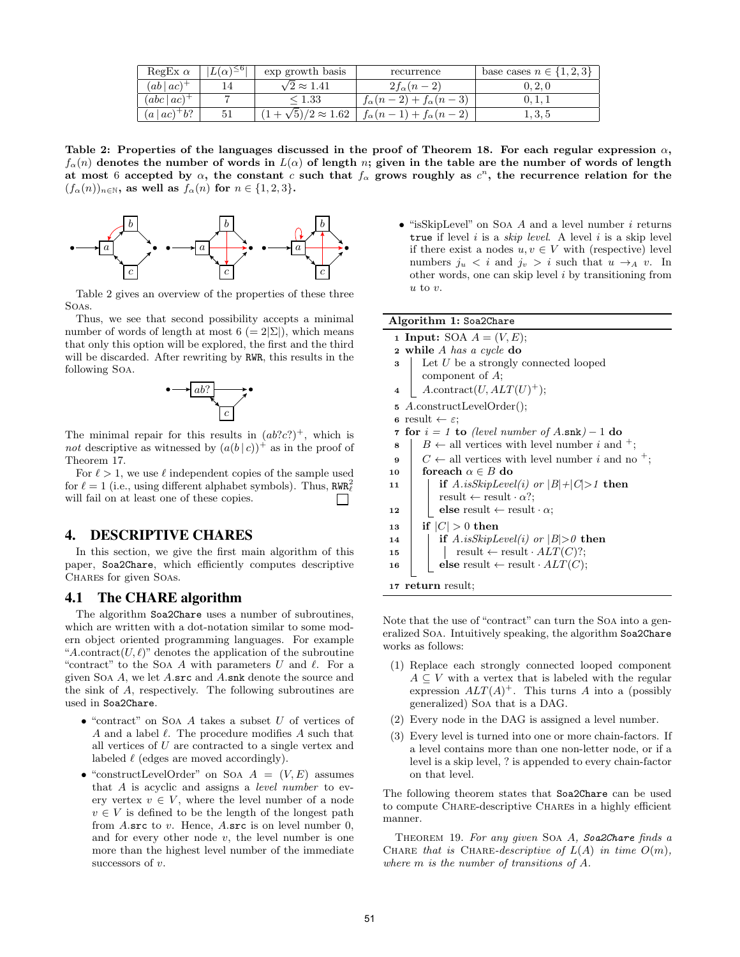| RegEx $\alpha$     | $L(\alpha)^{\leq 6}$ | exp growth basis              | recurrence                          | base cases $n \in \{1, 2, 3\}$ |
|--------------------|----------------------|-------------------------------|-------------------------------------|--------------------------------|
| $(ab ac)^+$        |                      | $\sqrt{2} \approx 1.41$       | $2f_{\alpha}(n-2)$                  | 0, 2, 0                        |
| $(abc ac)^{+}$     |                      | $\stackrel{<}{_{\sim}} 1.33$  | $f_{\alpha}(n-2)+f_{\alpha}(n-3)$   | U. 1. 1                        |
| $(a \mid ac)^+b$ ? | 51                   | $(1+\sqrt{5})/2 \approx 1.62$ | $f_{\alpha}(n-1) + f_{\alpha}(n-2)$ | 1, 3, 5                        |

Table 2: Properties of the languages discussed in the proof of Theorem 18. For each regular expression  $\alpha$ ,  $f_{\alpha}(n)$  denotes the number of words in  $L(\alpha)$  of length n; given in the table are the number of words of length at most 6 accepted by  $\alpha$ , the constant c such that  $f_{\alpha}$  grows roughly as  $c^{n}$ , the recurrence relation for the  $(f_{\alpha}(n))_{n\in\mathbb{N}}$ , as well as  $f_{\alpha}(n)$  for  $n \in \{1,2,3\}$ .



Table 2 gives an overview of the properties of these three Soas.

Thus, we see that second possibility accepts a minimal number of words of length at most  $6 (= 2|\Sigma|)$ , which means that only this option will be explored, the first and the third will be discarded. After rewriting by RWR, this results in the following Soa.



The minimal repair for this results in  $(ab?c?)^+$ , which is not descriptive as witnessed by  $(a(b | c))^+$  as in the proof of Theorem 17.

For  $\ell > 1$ , we use  $\ell$  independent copies of the sample used for  $\ell = 1$  (i.e., using different alphabet symbols). Thus,  $RWR_{\ell}^2$ will fail on at least one of these copies.  $\perp$ 

# 4. DESCRIPTIVE CHARES

In this section, we give the first main algorithm of this paper, Soa2Chare, which efficiently computes descriptive CHARES for given SOAs.

# 4.1 The CHARE algorithm

The algorithm Soa2Chare uses a number of subroutines, which are written with a dot-notation similar to some modern object oriented programming languages. For example "A.contract $(U, \ell)$ " denotes the application of the subroutine "contract" to the Soa A with parameters  $U$  and  $\ell$ . For a given Soa A, we let A.src and A.snk denote the source and the sink of A, respectively. The following subroutines are used in Soa2Chare.

- $\bullet$  "contract" on Soa A takes a subset U of vertices of A and a label  $\ell$ . The procedure modifies A such that all vertices of U are contracted to a single vertex and labeled  $\ell$  (edges are moved accordingly).
- "constructLevelOrder" on Soa  $A = (V, E)$  assumes that A is acyclic and assigns a level number to every vertex  $v \in V$ , where the level number of a node  $v \in V$  is defined to be the length of the longest path from A.src to  $v$ . Hence, A.src is on level number 0, and for every other node  $v$ , the level number is one more than the highest level number of the immediate successors of v.

 $\bullet$  "isSkipLevel" on Soa A and a level number i returns true if level  $i$  is a *skip level*. A level  $i$  is a skip level if there exist a nodes  $u, v \in V$  with (respective) level numbers  $j_u < i$  and  $j_v > i$  such that  $u \rightarrow_A v$ . In other words, one can skip level  $i$  by transitioning from  $u$  to  $v$ .

|  | 1 Input: SOA $A = (V, E);$ |  |
|--|----------------------------|--|
|  |                            |  |

- $2$  while A has a cycle do  $\mathbf{3}$  Let U be a strongly connected looped
- component of A;
- 4 |  $A$ .contract $(U, ALT(U)^+);$
- <sup>5</sup> A.constructLevelOrder();
- 6 result  $\leftarrow \varepsilon$ ;
- 7 for  $i = 1$  to (level number of  $A.\text{snk}$ ) 1 do
- 8  $\mid B \leftarrow$  all vertices with level number i and <sup>+</sup>;
- 9  $\mid$   $C \leftarrow$  all vertices with level number i and no <sup>+</sup>;
- 10 foreach  $\alpha \in B$  do
- 11 **if** A.isSkipLevel(i) or  $|B|+|C|>1$  then result  $\leftarrow$  result  $\cdot \alpha$ ?;
- 12 else result  $\leftarrow$  result  $\cdot \alpha$ ;
- 13 | if  $|C| > 0$  then
- 14 **if** A.isSkipLevel(i) or  $|B| > 0$  then
- 15 | | result  $\leftarrow$  result  $\cdot$  ALT(C)?;
- 16 **else** result  $\leftarrow$  result  $\cdot$  ALT(C);

<sup>17</sup> return result;

Note that the use of "contract" can turn the Soa into a generalized Soa. Intuitively speaking, the algorithm Soa2Chare works as follows:

- (1) Replace each strongly connected looped component  $A \subseteq V$  with a vertex that is labeled with the regular expression  $ALT(A)^+$ . This turns A into a (possibly generalized) Soa that is a DAG.
- (2) Every node in the DAG is assigned a level number.
- (3) Every level is turned into one or more chain-factors. If a level contains more than one non-letter node, or if a level is a skip level, ? is appended to every chain-factor on that level.

The following theorem states that Soa2Chare can be used to compute Chare-descriptive Chares in a highly efficient manner.

THEOREM 19. For any given SOA A, Soa2Chare finds a CHARE that is CHARE-descriptive of  $L(A)$  in time  $O(m)$ , where m is the number of transitions of A.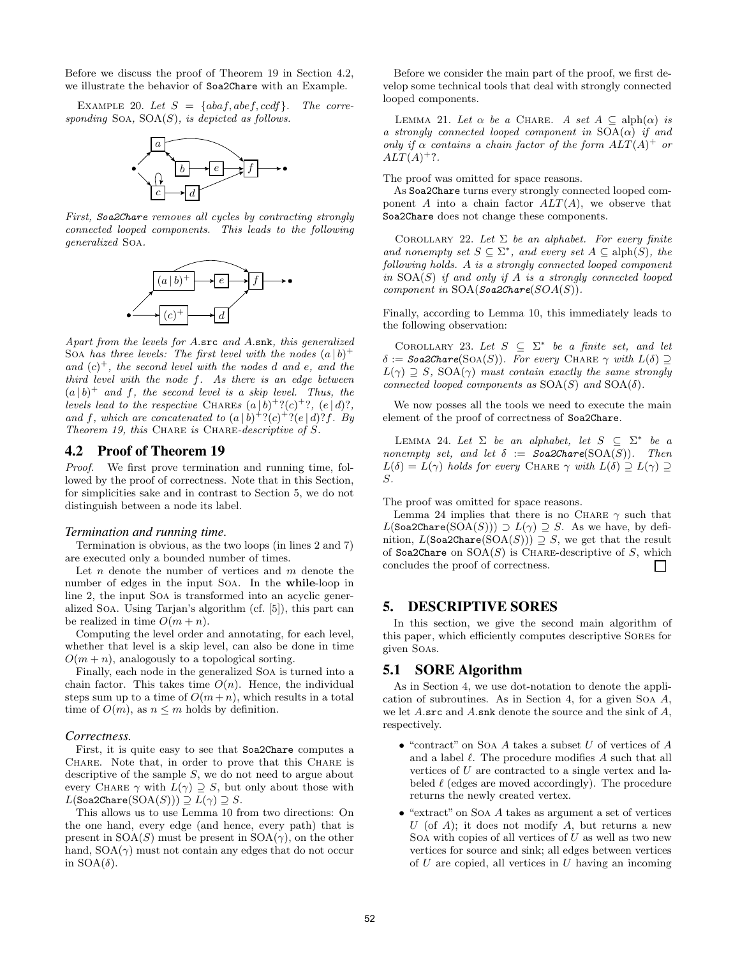Before we discuss the proof of Theorem 19 in Section 4.2, we illustrate the behavior of Soa2Chare with an Example.

EXAMPLE 20. Let  $S = \{abaf, abef, ccdf\}$ . The corresponding SOA,  $SOA(S)$ , is depicted as follows.



First, Soa2Chare removes all cycles by contracting strongly connected looped components. This leads to the following generalized Soa.



Apart from the levels for A.src and A.snk, this generalized Soa has three levels: The first level with the nodes  $(a | b)^+$ and  $(c)^+$ , the second level with the nodes d and e, and the third level with the node f. As there is an edge between  $(a | b)^+$  and f, the second level is a skip level. Thus, the levels lead to the respective CHARES  $(a | b)^+ ? (c)^+ ?$ ,  $(e | d) ?$ , and f, which are concatenated to  $(a | b)^{+}$ ? $(c)^{+}$ ? $(e | d)$ ?f. By Theorem 19, this CHARE is CHARE-descriptive of S.

## 4.2 Proof of Theorem 19

Proof. We first prove termination and running time, followed by the proof of correctness. Note that in this Section, for simplicities sake and in contrast to Section 5, we do not distinguish between a node its label.

#### *Termination and running time.*

Termination is obvious, as the two loops (in lines 2 and 7) are executed only a bounded number of times.

Let  $n$  denote the number of vertices and  $m$  denote the number of edges in the input Soa. In the while-loop in line 2, the input Soa is transformed into an acyclic generalized Soa. Using Tarjan's algorithm (cf. [5]), this part can be realized in time  $O(m + n)$ .

Computing the level order and annotating, for each level, whether that level is a skip level, can also be done in time  $O(m + n)$ , analogously to a topological sorting.

Finally, each node in the generalized Soa is turned into a chain factor. This takes time  $O(n)$ . Hence, the individual steps sum up to a time of  $O(m+n)$ , which results in a total time of  $O(m)$ , as  $n \leq m$  holds by definition.

#### *Correctness.*

First, it is quite easy to see that Soa2Chare computes a CHARE. Note that, in order to prove that this CHARE is descriptive of the sample S, we do not need to argue about every CHARE  $\gamma$  with  $L(\gamma) \supseteq S$ , but only about those with  $L(Soa2Chares(SOA(S))) \supseteq L(\gamma) \supseteq S.$ 

This allows us to use Lemma 10 from two directions: On the one hand, every edge (and hence, every path) that is present in  $SOA(S)$  must be present in  $SOA(\gamma)$ , on the other hand,  $SOA(\gamma)$  must not contain any edges that do not occur in  $SOA(\delta)$ .

Before we consider the main part of the proof, we first develop some technical tools that deal with strongly connected looped components.

LEMMA 21. Let  $\alpha$  be a CHARE. A set  $A \subseteq \text{alph}(\alpha)$  is a strongly connected looped component in  $SOA(\alpha)$  if and only if  $\alpha$  contains a chain factor of the form  $ALT(A)^+$  or  $ALT(A)^{+}$  ?.

The proof was omitted for space reasons.

As Soa2Chare turns every strongly connected looped component A into a chain factor  $ALT(A)$ , we observe that Soa2Chare does not change these components.

COROLLARY 22. Let  $\Sigma$  be an alphabet. For every finite and nonempty set  $S \subseteq \Sigma^*$ , and every set  $A \subseteq \text{alph}(S)$ , the following holds. A is a strongly connected looped component in  $SOA(S)$  if and only if A is a strongly connected looped component in  $SOA(Soa2Chare(SOA(S))).$ 

Finally, according to Lemma 10, this immediately leads to the following observation:

COROLLARY 23. Let  $S \subseteq \Sigma^*$  be a finite set, and let  $\delta :=$  Soa2Chare(SOA(S)). For every CHARE  $\gamma$  with  $L(\delta) \supseteq$  $L(\gamma) \supseteq S$ , SOA( $\gamma$ ) must contain exactly the same strongly connected looped components as  $SOA(S)$  and  $SOA(\delta)$ .

We now posses all the tools we need to execute the main element of the proof of correctness of Soa2Chare.

LEMMA 24. Let  $\Sigma$  be an alphabet, let  $S \subseteq \Sigma^*$  be a nonempty set, and let  $\delta :=$  Soa2Chare(SOA(S)). Then  $L(\delta) = L(\gamma)$  holds for every CHARE  $\gamma$  with  $L(\delta) \supseteq L(\gamma) \supseteq$ S.

The proof was omitted for space reasons.

Lemma 24 implies that there is no CHARE  $\gamma$  such that  $L(Soa2Chares(SOA(S))) \supset L(\gamma) \supseteq S$ . As we have, by definition,  $L(Soa2Chare(SOA(S))) \supseteq S$ , we get that the result of Soa2Chare on  $\text{SOA}(S)$  is CHARE-descriptive of S, which concludes the proof of correctness.

## 5. DESCRIPTIVE SORES

In this section, we give the second main algorithm of this paper, which efficiently computes descriptive Sores for given Soas.

## 5.1 SORE Algorithm

As in Section 4, we use dot-notation to denote the application of subroutines. As in Section 4, for a given Soa A, we let A.src and A.snk denote the source and the sink of A, respectively.

- $\bullet$  "contract" on Soa A takes a subset U of vertices of A and a label  $\ell$ . The procedure modifies  $A$  such that all vertices of U are contracted to a single vertex and labeled  $\ell$  (edges are moved accordingly). The procedure returns the newly created vertex.
- "extract" on Soa A takes as argument a set of vertices U (of A); it does not modify A, but returns a new Soa with copies of all vertices of  $U$  as well as two new vertices for source and sink; all edges between vertices of  $U$  are copied, all vertices in  $U$  having an incoming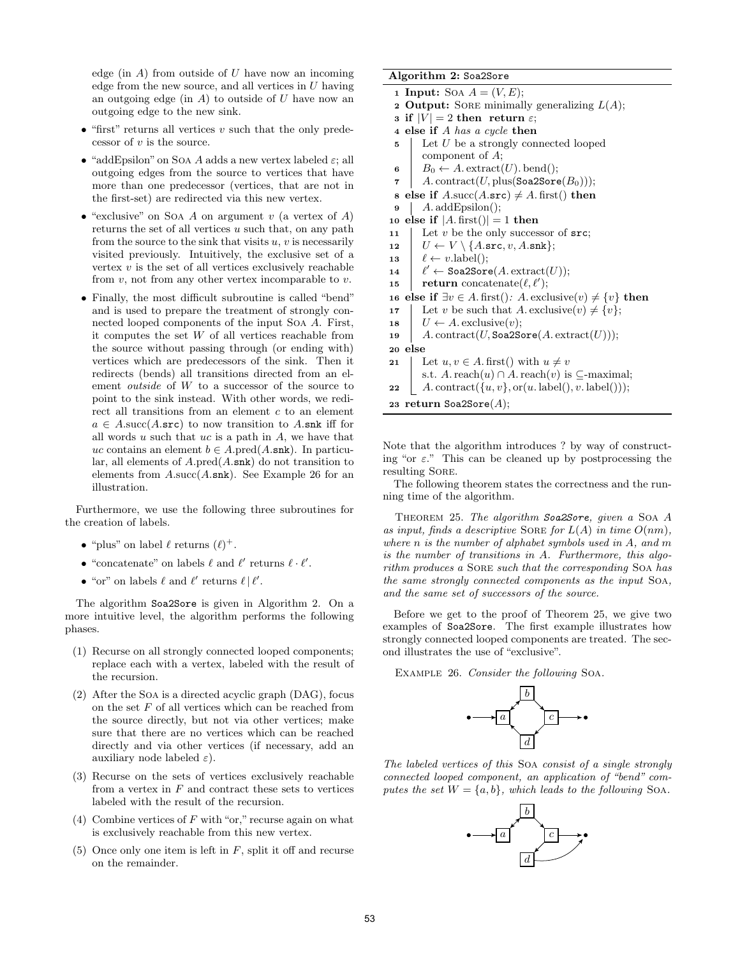edge (in  $A$ ) from outside of  $U$  have now an incoming edge from the new source, and all vertices in  $U$  having an outgoing edge (in  $A$ ) to outside of  $U$  have now an outgoing edge to the new sink.

- $\bullet$  "first" returns all vertices v such that the only predecessor of  $v$  is the source.
- "addEpsilon" on Soa A adds a new vertex labeled  $\varepsilon$ ; all outgoing edges from the source to vertices that have more than one predecessor (vertices, that are not in the first-set) are redirected via this new vertex.
- "exclusive" on Soa A on argument v (a vertex of A) returns the set of all vertices  $u$  such that, on any path from the source to the sink that visits  $u, v$  is necessarily visited previously. Intuitively, the exclusive set of a vertex  $v$  is the set of all vertices exclusively reachable from  $v$ , not from any other vertex incomparable to  $v$ .
- Finally, the most difficult subroutine is called "bend" and is used to prepare the treatment of strongly connected looped components of the input Soa A. First, it computes the set W of all vertices reachable from the source without passing through (or ending with) vertices which are predecessors of the sink. Then it redirects (bends) all transitions directed from an element outside of W to a successor of the source to point to the sink instead. With other words, we redirect all transitions from an element  $c$  to an element  $a \in A$ .succ $(A.\text{src})$  to now transition to A.snk iff for all words  $u$  such that  $uc$  is a path in  $A$ , we have that uc contains an element  $b \in A$ .pred $(A.\text{snk})$ . In particular, all elements of  $A.\text{pred}(A.\text{snk})$  do not transition to elements from  $A.\text{succ}(A.\text{snk})$ . See Example 26 for an illustration.

Furthermore, we use the following three subroutines for the creation of labels.

- "plus" on label  $\ell$  returns  $(\ell)^+$ .
- $\bullet$  "concatenate" on labels  $\ell$  and  $\ell'$  returns  $\ell \cdot \ell'.$
- "or" on labels  $\ell$  and  $\ell'$  returns  $\ell \mid \ell'$ .

The algorithm Soa2Sore is given in Algorithm 2. On a more intuitive level, the algorithm performs the following phases.

- (1) Recurse on all strongly connected looped components; replace each with a vertex, labeled with the result of the recursion.
- (2) After the Soa is a directed acyclic graph (DAG), focus on the set  $F$  of all vertices which can be reached from the source directly, but not via other vertices; make sure that there are no vertices which can be reached directly and via other vertices (if necessary, add an auxiliary node labeled  $\varepsilon$ ).
- (3) Recurse on the sets of vertices exclusively reachable from a vertex in  $F$  and contract these sets to vertices labeled with the result of the recursion.
- (4) Combine vertices of  $F$  with "or," recurse again on what is exclusively reachable from this new vertex.
- (5) Once only one item is left in  $F$ , split it off and recurse on the remainder.

#### Algorithm 2: Soa2Sore

| <b>1 Input:</b> Soa $A = (V, E);$                                                    |  |  |  |  |
|--------------------------------------------------------------------------------------|--|--|--|--|
| <b>2 Output:</b> SORE minimally generalizing $L(A)$ ;                                |  |  |  |  |
| 3 if $ V  = 2$ then return $\varepsilon$ ;                                           |  |  |  |  |
| 4 else if A has a cycle then                                                         |  |  |  |  |
| Let $U$ be a strongly connected looped<br>5                                          |  |  |  |  |
| component of $A$ ;                                                                   |  |  |  |  |
| $B_0 \leftarrow A$ . extract(U). bend();<br>6                                        |  |  |  |  |
| A. contract(U, plus(Soa2Sore( $B_0$ )));<br>7                                        |  |  |  |  |
| else if $A.\text{succ}(A.\text{src}) \neq A.\text{first}()$ then<br>8                |  |  |  |  |
| $A. \text{addEpsilon}()$ ;<br>9                                                      |  |  |  |  |
| else if $ A \text{. first}() =1$ then<br>10                                          |  |  |  |  |
| Let $v$ be the only successor of $src$ ;<br>11                                       |  |  |  |  |
| $U \leftarrow V \setminus \{A.\texttt{src}, v, A.\texttt{snk}\};$<br>12              |  |  |  |  |
| $\ell \leftarrow v.\text{label}$ .<br>13                                             |  |  |  |  |
| $\ell' \leftarrow$ Soa2Sore(A. extract(U));<br>14                                    |  |  |  |  |
| <b>return</b> concatenate( $\ell, \ell'$ );<br>15                                    |  |  |  |  |
| else if $\exists v \in A$ . first(): A. exclusive(v) $\neq \{v\}$ then<br>16         |  |  |  |  |
| Let v be such that A. exclusive(v) $\neq \{v\};$<br>17                               |  |  |  |  |
| $U \leftarrow A$ . exclusive $(v)$ ;<br>18                                           |  |  |  |  |
| A. contract(U, Soa2Sore(A. extract(U)));<br>19                                       |  |  |  |  |
| else<br>20                                                                           |  |  |  |  |
| Let $u, v \in A$ first() with $u \neq v$<br>21                                       |  |  |  |  |
| s.t. A. reach $(u) \cap A$ . reach $(v)$ is $\subseteq$ -maximal;                    |  |  |  |  |
| $A.\text{contract}(\{u, v\}, \text{or}(u.\text{ label}(), v.\text{ label}))).$<br>22 |  |  |  |  |
| 23 return Soa2Sore $(A);$                                                            |  |  |  |  |

Note that the algorithm introduces ? by way of constructing "or  $\varepsilon$ ." This can be cleaned up by postprocessing the resulting Sore.

The following theorem states the correctness and the running time of the algorithm.

Theorem 25. The algorithm Soa2Sore, given a Soa A as input, finds a descriptive SORE for  $L(A)$  in time  $O(nm)$ , where n is the number of alphabet symbols used in A, and m is the number of transitions in A. Furthermore, this algorithm produces a SORE such that the corresponding SOA has the same strongly connected components as the input Soa, and the same set of successors of the source.

Before we get to the proof of Theorem 25, we give two examples of Soa2Sore. The first example illustrates how strongly connected looped components are treated. The second illustrates the use of "exclusive".

Example 26. Consider the following Soa.



The labeled vertices of this Soa consist of a single strongly connected looped component, an application of "bend" computes the set  $W = \{a, b\}$ , which leads to the following SOA.

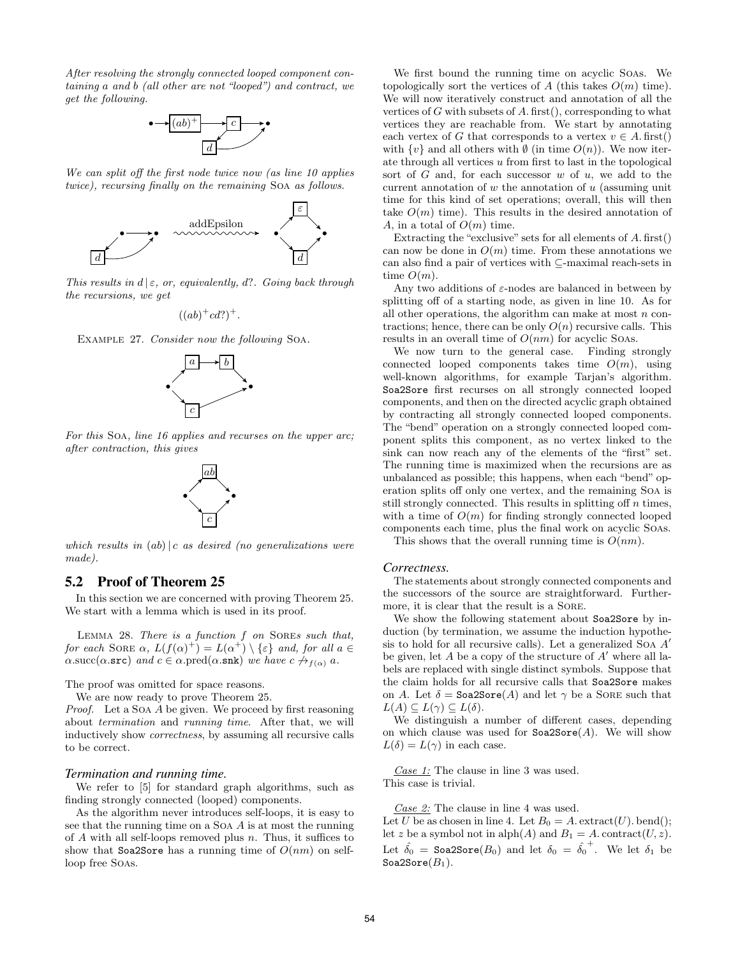After resolving the strongly connected looped component containing a and b (all other are not "looped") and contract, we get the following.



We can split off the first node twice now (as line 10 applies twice), recursing finally on the remaining Soa as follows.



This results in  $d \mid \varepsilon$ , or, equivalently, d?. Going back through the recursions, we get

$$
((ab)^+cd?)^+.
$$





For this Soa, line 16 applies and recurses on the upper arc; after contraction, this gives



which results in  $(ab) | c$  as desired (no generalizations were made).

## 5.2 Proof of Theorem 25

In this section we are concerned with proving Theorem 25. We start with a lemma which is used in its proof.

LEMMA 28. There is a function f on SOREs such that, for each SORE  $\alpha$ ,  $L(f(\alpha)^+) = L(\alpha^+) \setminus {\varepsilon}$  and, for all  $\alpha \in$  $\alpha.\text{succ}(\alpha.\texttt{src})$  and  $c \in \alpha.\text{pred}(\alpha.\texttt{snk})$  we have  $c \nrightarrow_{f(\alpha)} a$ .

The proof was omitted for space reasons.

We are now ready to prove Theorem 25.

Proof. Let a SOA A be given. We proceed by first reasoning about termination and running time. After that, we will inductively show correctness, by assuming all recursive calls to be correct.

#### *Termination and running time.*

We refer to [5] for standard graph algorithms, such as finding strongly connected (looped) components.

As the algorithm never introduces self-loops, it is easy to see that the running time on a Soa A is at most the running of  $A$  with all self-loops removed plus  $n$ . Thus, it suffices to show that Soa2Sore has a running time of  $O(nm)$  on selfloop free Soas.

We first bound the running time on acyclic Soas. We topologically sort the vertices of A (this takes  $O(m)$  time). We will now iteratively construct and annotation of all the vertices of  $G$  with subsets of  $A$ . first(), corresponding to what vertices they are reachable from. We start by annotating each vertex of G that corresponds to a vertex  $v \in A$ . first() with  $\{v\}$  and all others with  $\emptyset$  (in time  $O(n)$ ). We now iterate through all vertices u from first to last in the topological sort of  $G$  and, for each successor  $w$  of  $u$ , we add to the current annotation of  $w$  the annotation of  $u$  (assuming unit time for this kind of set operations; overall, this will then take  $O(m)$  time). This results in the desired annotation of A, in a total of  $O(m)$  time.

Extracting the "exclusive" sets for all elements of A. first() can now be done in  $O(m)$  time. From these annotations we can also find a pair of vertices with  $\subseteq$  maximal reach-sets in time  $O(m)$ .

Any two additions of  $\varepsilon$ -nodes are balanced in between by splitting off of a starting node, as given in line 10. As for all other operations, the algorithm can make at most  $n$  contractions; hence, there can be only  $O(n)$  recursive calls. This results in an overall time of  $O(nm)$  for acyclic Soas.

We now turn to the general case. Finding strongly connected looped components takes time  $O(m)$ , using well-known algorithms, for example Tarjan's algorithm. Soa2Sore first recurses on all strongly connected looped components, and then on the directed acyclic graph obtained by contracting all strongly connected looped components. The "bend" operation on a strongly connected looped component splits this component, as no vertex linked to the sink can now reach any of the elements of the "first" set. The running time is maximized when the recursions are as unbalanced as possible; this happens, when each "bend" operation splits off only one vertex, and the remaining Soa is still strongly connected. This results in splitting off  $n$  times, with a time of  $O(m)$  for finding strongly connected looped components each time, plus the final work on acyclic Soas.

This shows that the overall running time is  $O(nm)$ .

#### *Correctness.*

The statements about strongly connected components and the successors of the source are straightforward. Furthermore, it is clear that the result is a SORE.

We show the following statement about Soa2Sore by induction (by termination, we assume the induction hypothesis to hold for all recursive calls). Let a generalized Soa  $A'$ be given, let  $A$  be a copy of the structure of  $A'$  where all labels are replaced with single distinct symbols. Suppose that the claim holds for all recursive calls that Soa2Sore makes on A. Let  $\delta =$  Soa2Sore(A) and let  $\gamma$  be a SORE such that  $L(A) \subseteq L(\gamma) \subseteq L(\delta)$ .

We distinguish a number of different cases, depending on which clause was used for  $Soa2Sore(A)$ . We will show  $L(\delta) = L(\gamma)$  in each case.

Case 1: The clause in line 3 was used. This case is trivial.

 $\textit{Case 2:}$  The clause in line 4 was used.

Let U be as chosen in line 4. Let  $B_0 = A$ . extract(U). bend(); let z be a symbol not in alph $(A)$  and  $B_1 = A$ . contract $(U, z)$ . Let  $\hat{\delta_0} =$  Soa2Sore $(B_0)$  and let  $\delta_0 = \hat{\delta_0}^+$ . We let  $\delta_1$  be Soa2Sore $(B_1)$ .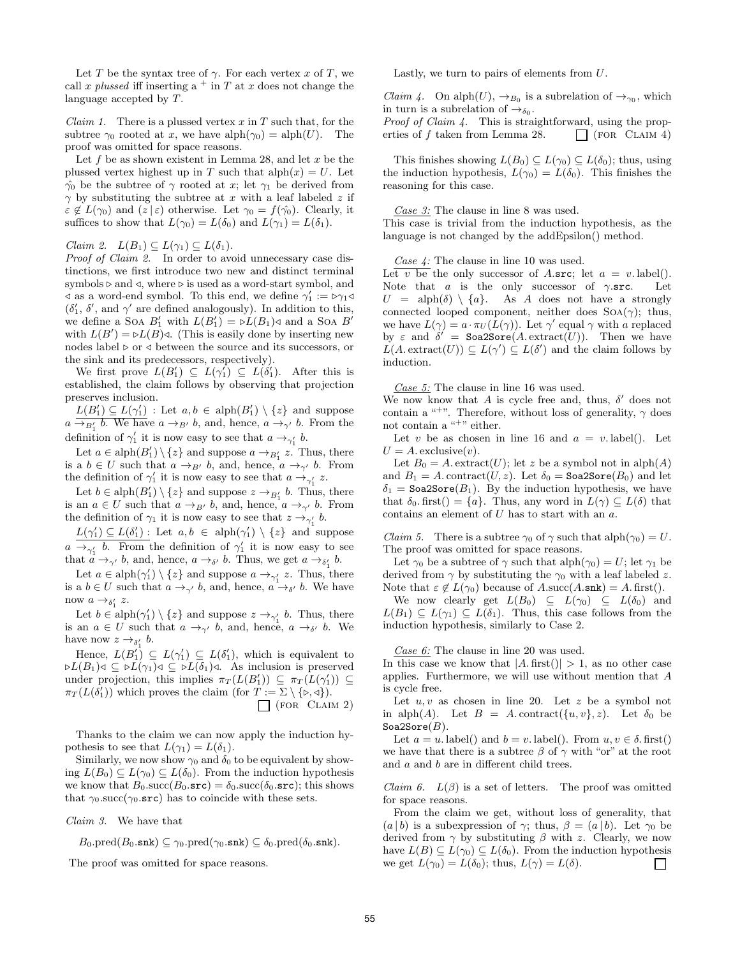Let T be the syntax tree of  $\gamma$ . For each vertex x of T, we call x plussed iff inserting a  $+$  in T at x does not change the language accepted by T.

*Claim 1.* There is a plussed vertex  $x$  in  $T$  such that, for the subtree  $\gamma_0$  rooted at x, we have alph $(\gamma_0) = \text{alph}(U)$ . The proof was omitted for space reasons.

Let  $f$  be as shown existent in Lemma 28, and let  $x$  be the plussed vertex highest up in T such that  $\text{alph}(x) = U$ . Let  $\hat{\gamma}_0$  be the subtree of  $\gamma$  rooted at x; let  $\gamma_1$  be derived from  $\gamma$  by substituting the subtree at x with a leaf labeled z if  $\varepsilon \notin L(\gamma_0)$  and  $(z | \varepsilon)$  otherwise. Let  $\gamma_0 = f(\hat{\gamma_0})$ . Clearly, it suffices to show that  $L(\gamma_0) = L(\delta_0)$  and  $L(\gamma_1) = L(\delta_1)$ .

*Claim 2.*  $L(B_1) \subseteq L(\gamma_1) \subseteq L(\delta_1)$ .

Proof of Claim 2. In order to avoid unnecessary case distinctions, we first introduce two new and distinct terminal symbols  $\triangleright$  and  $\triangleleft$ , where  $\triangleright$  is used as a word-start symbol, and  $\triangleleft$  as a word-end symbol. To this end, we define  $γ'_1 := \triangleright γ_1 \triangleleft$  $(\delta_1', \delta', \text{ and } \gamma'$  are defined analogously). In addition to this, we define a SOA  $B'_1$  with  $L(B'_1) = \triangleright L(B_1) \triangleleft$  and a SOA  $B'$ with  $L(B') = \triangleright L(B) \triangleleft$ . (This is easily done by inserting new nodes label  $\triangleright$  or  $\triangleleft$  between the source and its successors, or the sink and its predecessors, respectively).

We first prove  $L(B'_1) \subseteq L(\gamma'_1) \subseteq L(\delta'_1)$ . After this is established, the claim follows by observing that projection preserves inclusion.

 $L(B'_1) \subseteq L(\gamma'_1)$ : Let  $a, b \in \text{alph}(B'_1) \setminus \{z\}$  and suppose  $a \rightarrow_{B'_1} b$ . We have  $a \rightarrow_{B'} b$ , and, hence,  $a \rightarrow_{\gamma'} b$ . From the definition of  $\gamma'_1$  it is now easy to see that  $a \to_{\gamma'_1} b$ .

Let  $a \in \text{alph}(B'_1) \setminus \{z\}$  and suppose  $a \to_{B'_1} z$ . Thus, there is a  $b \in U$  such that  $a \to_{B'} b$ , and, hence,  $a \to_{\gamma'} b$ . From the definition of  $\gamma'_1$  it is now easy to see that  $a \rightarrow_{\gamma'_1} z$ .

Let  $b \in \text{alph}(B'_1) \setminus \{z\}$  and suppose  $z \to_{B'_1} b$ . Thus, there is an  $a \in U$  such that  $a \rightarrow_{B'} b$ , and, hence,  $a \rightarrow_{\gamma'} b$ . From the definition of  $\gamma_1$  it is now easy to see that  $z \rightarrow_{\gamma'_1} b$ .

 $L(\gamma_1') \subseteq L(\delta_1')$ : Let  $a, b \in \mathrm{alph}(\gamma_1') \setminus \{z\}$  and suppose  $a \rightarrow_{\gamma'_1} b$ . From the definition of  $\gamma'_1$  it is now easy to see that  $a \rightarrow_{\gamma'} b$ , and, hence,  $a \rightarrow_{\delta'} b$ . Thus, we get  $a \rightarrow_{\delta'_1} b$ .

Let  $a \in \text{alph}(\gamma_1') \setminus \{z\}$  and suppose  $a \to_{\gamma_1'} z$ . Thus, there is a  $b \in U$  such that  $a \rightarrow_{\gamma'} b$ , and, hence,  $a \rightarrow_{\delta'} b$ . We have now  $a \rightarrow_{\delta_1'} z$ .

Let  $b \in \text{alph}(\gamma_1') \setminus \{z\}$  and suppose  $z \to_{\gamma_1'} b$ . Thus, there is an  $a \in U$  such that  $a \rightarrow_{\gamma'} b$ , and, hence,  $a \rightarrow_{\delta'} b$ . We have now  $z \rightarrow_{\delta'_1} b$ .

Hence,  $L(B'_1) \subseteq L(\gamma'_1) \subseteq L(\delta'_1)$ , which is equivalent to  $\triangleright L(B_1) \triangleleft \subseteq \triangleright L(\gamma_1) \triangleleft \subseteq \triangleright L(\delta_1) \triangleleft$ . As inclusion is preserved under projection, this implies  $\pi_T(L(B'_1)) \subseteq \pi_T(L(\gamma'_1)) \subseteq$  $\pi_T(L(\delta_1'))$  which proves the claim (for  $T := \Sigma \setminus {\{\triangleright},\triangleleft\}}$ ).  $\Box$  (FOR CLAIM 2)

Thanks to the claim we can now apply the induction hypothesis to see that  $L(\gamma_1) = L(\delta_1)$ .

Similarly, we now show  $\gamma_0$  and  $\delta_0$  to be equivalent by showing  $L(B_0) \subseteq L(\gamma_0) \subseteq L(\delta_0)$ . From the induction hypothesis we know that  $B_0$ .succ $(B_0$ .src) =  $\delta_0$ .succ $(\delta_0$ .src); this shows that  $\gamma_0$  succ( $\gamma_0$  src) has to coincide with these sets.

Claim 3. We have that

 $B_0.\text{pred}(B_0.\text{snk}) \subseteq \gamma_0.\text{pred}(\gamma_0.\text{snk}) \subseteq \delta_0.\text{pred}(\delta_0.\text{snk}).$ 

The proof was omitted for space reasons.

Lastly, we turn to pairs of elements from U.

*Claim 4.* On alph $(U)$ ,  $\rightarrow_{B_0}$  is a subrelation of  $\rightarrow_{\gamma_0}$ , which in turn is a subrelation of  $\rightarrow_{\delta_0}$ .

Proof of Claim 4. This is straightforward, using the properties of f taken from Lemma 28.  $\Box$  (FOR CLAIM 4)

This finishes showing  $L(B_0) \subseteq L(\gamma_0) \subseteq L(\delta_0)$ ; thus, using the induction hypothesis,  $L(\gamma_0) = L(\delta_0)$ . This finishes the reasoning for this case.

Case 3: The clause in line 8 was used.

This case is trivial from the induction hypothesis, as the language is not changed by the addEpsilon() method.

Case 4: The clause in line 10 was used.

Let v be the only successor of A.src; let  $a = v$ . label(). Note that a is the only successor of  $\gamma$ .src. Let  $U = \text{alph}(\delta) \setminus \{a\}.$  As A does not have a strongly connected looped component, neither does  $SOA(\gamma)$ ; thus, we have  $L(\gamma) = a \cdot \pi_U(L(\gamma))$ . Let  $\gamma'$  equal  $\gamma$  with a replaced by  $\varepsilon$  and  $\delta'$  = Soa2Sore(A. extract(U)). Then we have  $L(A.\text{extract}(U)) \subseteq L(\gamma') \subseteq L(\delta')$  and the claim follows by induction.

Case 5: The clause in line 16 was used.

We now know that A is cycle free and, thus,  $\delta'$  does not contain a "<sup>+</sup>". Therefore, without loss of generality,  $\gamma$  does not contain a "+" either.

Let v be as chosen in line 16 and  $a = v$ . label(). Let  $U = A$ . exclusive $(v)$ .

Let  $B_0 = A$ . extract(U); let z be a symbol not in alph(A) and  $B_1 = A$ . contract(U, z). Let  $\delta_0 =$  Soa2Sore( $B_0$ ) and let  $\delta_1$  = Soa2Sore( $B_1$ ). By the induction hypothesis, we have that  $\delta_0$ . first() = {a}. Thus, any word in  $L(\gamma) \subseteq L(\delta)$  that contains an element of U has to start with an a.

*Claim 5.* There is a subtree  $\gamma_0$  of  $\gamma$  such that  $\alpha \text{ph}(\gamma_0) = U$ . The proof was omitted for space reasons.

Let  $\gamma_0$  be a subtree of  $\gamma$  such that  $\alpha$ let  $\gamma_0$  = U; let  $\gamma_1$  be derived from  $\gamma$  by substituting the  $\gamma_0$  with a leaf labeled z. Note that  $\varepsilon \notin L(\gamma_0)$  because of  $A.\text{succ}(A.\text{snk}) = A.\text{first}()$ .

We now clearly get  $L(B_0) \subseteq L(\gamma_0) \subseteq L(\delta_0)$  and  $L(B_1) \subseteq L(\gamma_1) \subseteq L(\delta_1)$ . Thus, this case follows from the induction hypothesis, similarly to Case 2.

Case 6: The clause in line 20 was used.

In this case we know that  $|A \text{. first}()| > 1$ , as no other case applies. Furthermore, we will use without mention that A is cycle free.

Let  $u, v$  as chosen in line 20. Let  $z$  be a symbol not in alph(A). Let  $B = A$ . contract( $\{u, v\}$ , z). Let  $\delta_0$  be Soa2Sore $(B)$ .

Let  $a = u$ . label() and  $b = v$ . label(). From  $u, v \in \delta$ . first() we have that there is a subtree  $\beta$  of  $\gamma$  with "or" at the root and a and b are in different child trees.

*Claim 6.*  $L(\beta)$  is a set of letters. The proof was omitted for space reasons.

From the claim we get, without loss of generality, that  $(a | b)$  is a subexpression of  $\gamma$ ; thus,  $\beta = (a | b)$ . Let  $\gamma_0$  be derived from  $\gamma$  by substituting  $\beta$  with z. Clearly, we now have  $L(B) \subseteq L(\gamma_0) \subseteq L(\delta_0)$ . From the induction hypothesis we get  $L(\gamma_0) = L(\delta_0)$ ; thus,  $L(\gamma) = L(\delta)$ .  $\Box$